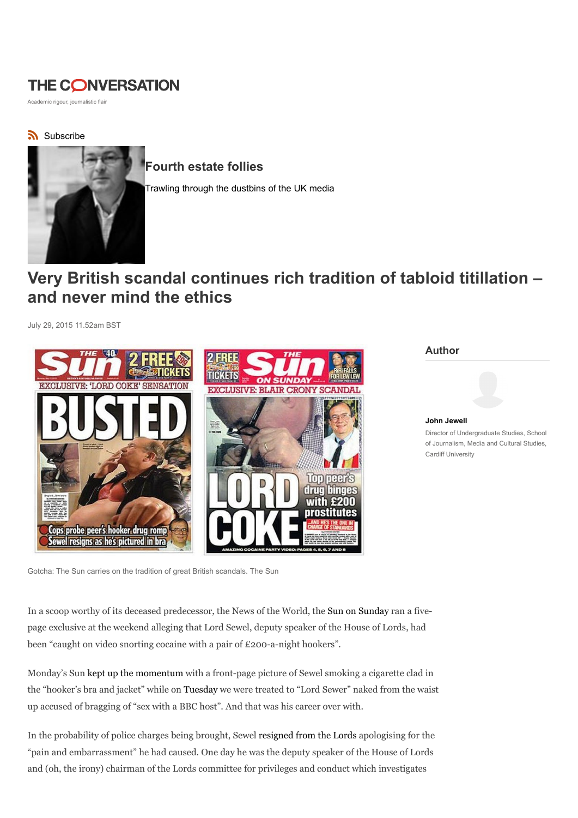## THE CONVERSATION

Academic rigour, journalistic flair

subscribe



Fourth estate follies

Trawling through the dustbins of the UK media

## Very British scandal continues rich tradition of tabloid titillation – and never mind the ethics

July 29, 2015 11.52am BST



Author

John Jewell Director of Undergraduate Studies, School of Journalism, Media and Cultural Studies, Cardiff University

Gotcha: The Sun carries on the tradition of great British scandals. The Sun

In a scoop worthy of its deceased predecessor, the News of the World, the Sun on Sunday ran a fivepage exclusive at the weekend alleging that Lord Sewel, deputy speaker of the House of Lords, had been "caught on video snorting cocaine with a pair of £200-a-night hookers".

Monday's Sun kept up the momentum with a front-page picture of Sewel smoking a cigarette clad in the "hooker's bra and jacket" while on Tuesday we were treated to "Lord Sewer" naked from the waist up accused of bragging of "sex with a BBC host". And that was his career over with.

In the probability of police charges being brought, Sewel resigned from the Lords apologising for the "pain and embarrassment" he had caused. One day he was the deputy speaker of the House of Lords and (oh, the irony) chairman of the Lords committee for privileges and conduct which investigates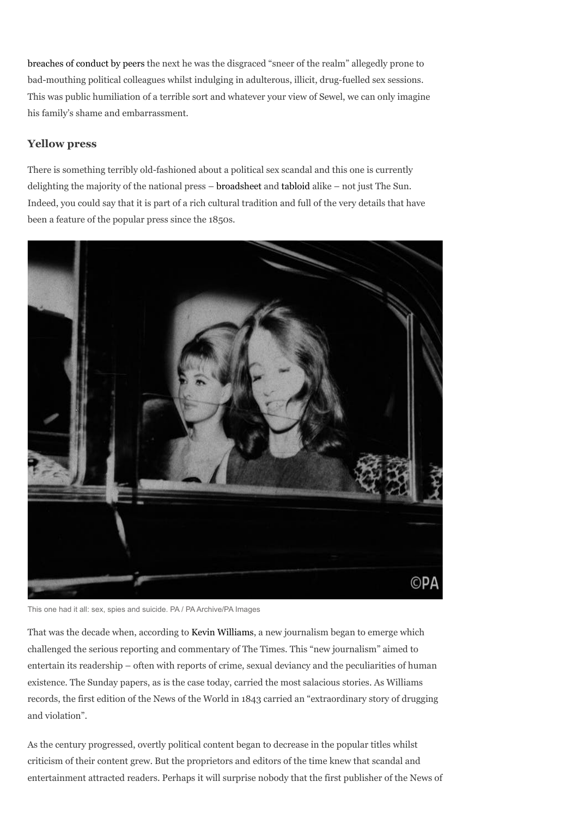breaches of conduct by peers the next he was the disgraced "sneer of the realm" allegedly prone to bad-mouthing political colleagues whilst indulging in adulterous, illicit, drug-fuelled sex sessions. This was public humiliation of a terrible sort and whatever your view of Sewel, we can only imagine his family's shame and embarrassment.

## Yellow press

There is something terribly old-fashioned about a political sex scandal and this one is currently delighting the majority of the national press – broadsheet and tabloid alike – not just The Sun. Indeed, you could say that it is part of a rich cultural tradition and full of the very details that have been a feature of the popular press since the 1850s.



This one had it all: sex, spies and suicide. PA / PA Archive/PA Images

That was the decade when, according to Kevin Williams, a new journalism began to emerge which challenged the serious reporting and commentary of The Times. This "new journalism" aimed to entertain its readership – often with reports of crime, sexual deviancy and the peculiarities of human existence. The Sunday papers, as is the case today, carried the most salacious stories. As Williams records, the first edition of the News of the World in 1843 carried an "extraordinary story of drugging and violation".

As the century progressed, overtly political content began to decrease in the popular titles whilst criticism of their content grew. But the proprietors and editors of the time knew that scandal and entertainment attracted readers. Perhaps it will surprise nobody that the first publisher of the News of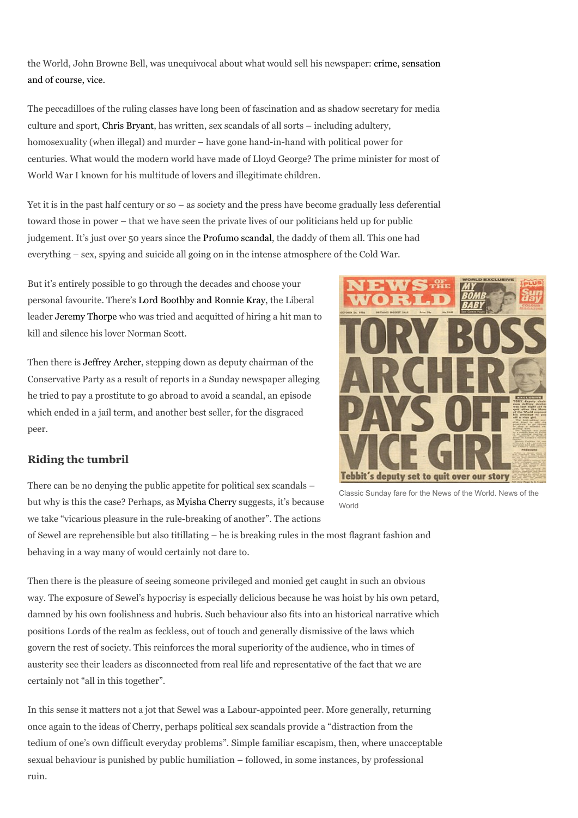the World, John Browne Bell, was unequivocal about what would sell his newspaper: crime, sensation and of course, vice.

The peccadilloes of the ruling classes have long been of fascination and as shadow secretary for media culture and sport, Chris Bryant, has written, sex scandals of all sorts – including adultery, homosexuality (when illegal) and murder – have gone hand-in-hand with political power for centuries. What would the modern world have made of Lloyd George? The prime minister for most of World War I known for his multitude of lovers and illegitimate children.

Yet it is in the past half century or so – as society and the press have become gradually less deferential toward those in power – that we have seen the private lives of our politicians held up for public judgement. It's just over 50 years since the Profumo scandal, the daddy of them all. This one had everything – sex, spying and suicide all going on in the intense atmosphere of the Cold War.

But it's entirely possible to go through the decades and choose your personal favourite. There's Lord Boothby and Ronnie Kray, the Liberal leader Jeremy Thorpe who was tried and acquitted of hiring a hit man to kill and silence his lover Norman Scott.

Then there is Jeffrey Archer, stepping down as deputy chairman of the Conservative Party as a result of reports in a Sunday newspaper alleging he tried to pay a prostitute to go abroad to avoid a scandal, an episode which ended in a jail term, and another best seller, for the disgraced peer.

## Riding the tumbril

There can be no denying the public appetite for political sex scandals – but why is this the case? Perhaps, as Myisha Cherry suggests, it's because we take "vicarious pleasure in the rule-breaking of another". The actions

of Sewel are reprehensible but also titillating – he is breaking rules in the most flagrant fashion and behaving in a way many of would certainly not dare to.

Then there is the pleasure of seeing someone privileged and monied get caught in such an obvious way. The exposure of Sewel's hypocrisy is especially delicious because he was hoist by his own petard, damned by his own foolishness and hubris. Such behaviour also fits into an historical narrative which positions Lords of the realm as feckless, out of touch and generally dismissive of the laws which govern the rest of society. This reinforces the moral superiority of the audience, who in times of austerity see their leaders as disconnected from real life and representative of the fact that we are certainly not "all in this together".

In this sense it matters not a jot that Sewel was a Labour-appointed peer. More generally, returning once again to the ideas of Cherry, perhaps political sex scandals provide a "distraction from the tedium of one's own difficult everyday problems". Simple familiar escapism, then, where unacceptable sexual behaviour is punished by public humiliation – followed, in some instances, by professional ruin.

Classic Sunday fare for the News of the World. News of the World